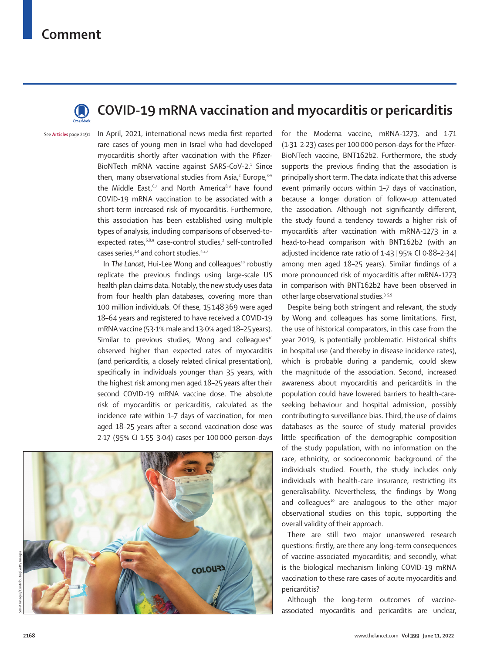## **Comment**



## **COVID-19 mRNA vaccination and myocarditis or pericarditis**

See **Articles** page 2191

In April, 2021, international news media first reported rare cases of young men in Israel who had developed myocarditis shortly after vaccination with the Pfizer-BioNTech mRNA vaccine against SARS-CoV-2.<sup>1</sup> Since then, many observational studies from Asia,<sup>2</sup> Europe,<sup>3-5</sup> the Middle East,<sup>6,7</sup> and North America<sup>8,9</sup> have found COVID-19 mRNA vaccination to be associated with a short-term increased risk of myocarditis. Furthermore, this association has been established using multiple types of analysis, including comparisons of observed-toexpected rates,<sup>6,8,9</sup> case-control studies,<sup>2</sup> self-controlled cases series,<sup>3,4</sup> and cohort studies.<sup>4,5,7</sup>

In The Lancet, Hui-Lee Wong and colleagues<sup>10</sup> robustly replicate the previous findings using large-scale US health plan claims data. Notably, the new study uses data from four health plan databases, covering more than 100 million individuals. Of these, 15148369 were aged 18–64 years and registered to have received a COVID-19 mRNA vaccine (53·1% male and 13·0% aged 18–25 years). Similar to previous studies, Wong and colleagues $10$ observed higher than expected rates of myocarditis (and pericarditis, a closely related clinical presentation), specifically in individuals younger than 35 years, with the highest risk among men aged 18–25 years after their second COVID-19 mRNA vaccine dose. The absolute risk of myocarditis or pericarditis, calculated as the incidence rate within 1–7 days of vaccination, for men aged 18–25 years after a second vaccination dose was 2·17 (95% CI 1·55–3·04) cases per 100000 person-days



for the Moderna vaccine, mRNA-1273, and 1·71 (1·31–2·23) cases per 100000 person-days for the Pfizer-BioNTech vaccine, BNT162b2. Furthermore, the study supports the previous finding that the association is principally short term. The data indicate that this adverse event primarily occurs within 1–7 days of vaccination, because a longer duration of follow-up attenuated the association. Although not significantly different, the study found a tendency towards a higher risk of myocarditis after vaccination with mRNA-1273 in a head-to-head comparison with BNT162b2 (with an adjusted incidence rate ratio of 1·43 [95% CI 0·88–2·34] among men aged 18–25 years). Similar findings of a more pronounced risk of myocarditis after mRNA-1273 in comparison with BNT162b2 have been observed in other large observational studies.3–5,9

Despite being both stringent and relevant, the study by Wong and colleagues has some limitations. First, the use of historical comparators, in this case from the year 2019, is potentially problematic. Historical shifts in hospital use (and thereby in disease incidence rates), which is probable during a pandemic, could skew the magnitude of the association. Second, increased awareness about myocarditis and pericarditis in the population could have lowered barriers to health-careseeking behaviour and hospital admission, possibly contributing to surveillance bias. Third, the use of claims databases as the source of study material provides little specification of the demographic composition of the study population, with no information on the race, ethnicity, or socioeconomic background of the individuals studied. Fourth, the study includes only individuals with health-care insurance, restricting its generalisability. Nevertheless, the findings by Wong and colleagues<sup>10</sup> are analogous to the other major observational studies on this topic, supporting the overall validity of their approach.

There are still two major unanswered research questions: firstly, are there any long-term consequences of vaccine-associated myocarditis; and secondly, what is the biological mechanism linking COVID-19 mRNA vaccination to these rare cases of acute myocarditis and pericarditis?

Although the long-term outcomes of vaccineassociated myocarditis and pericarditis are unclear,